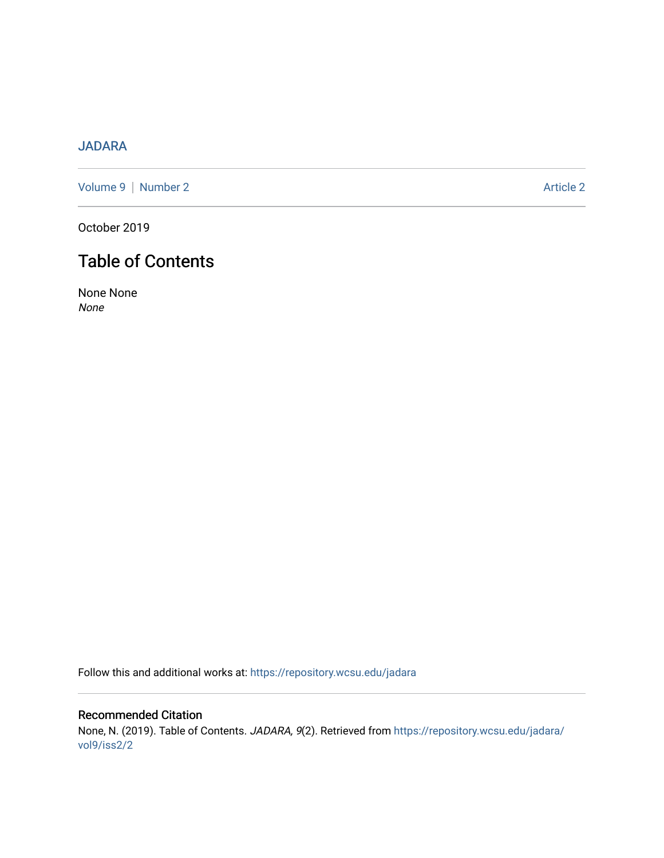## [JADARA](https://repository.wcsu.edu/jadara)

[Volume 9](https://repository.wcsu.edu/jadara/vol9) | [Number 2](https://repository.wcsu.edu/jadara/vol9/iss2) Article 2

October 2019

# Table of Contents

None None None

Follow this and additional works at: [https://repository.wcsu.edu/jadara](https://repository.wcsu.edu/jadara?utm_source=repository.wcsu.edu%2Fjadara%2Fvol9%2Fiss2%2F2&utm_medium=PDF&utm_campaign=PDFCoverPages)

### Recommended Citation None, N. (2019). Table of Contents. JADARA, 9(2). Retrieved from [https://repository.wcsu.edu/jadara/](https://repository.wcsu.edu/jadara/vol9/iss2/2?utm_source=repository.wcsu.edu%2Fjadara%2Fvol9%2Fiss2%2F2&utm_medium=PDF&utm_campaign=PDFCoverPages) [vol9/iss2/2](https://repository.wcsu.edu/jadara/vol9/iss2/2?utm_source=repository.wcsu.edu%2Fjadara%2Fvol9%2Fiss2%2F2&utm_medium=PDF&utm_campaign=PDFCoverPages)